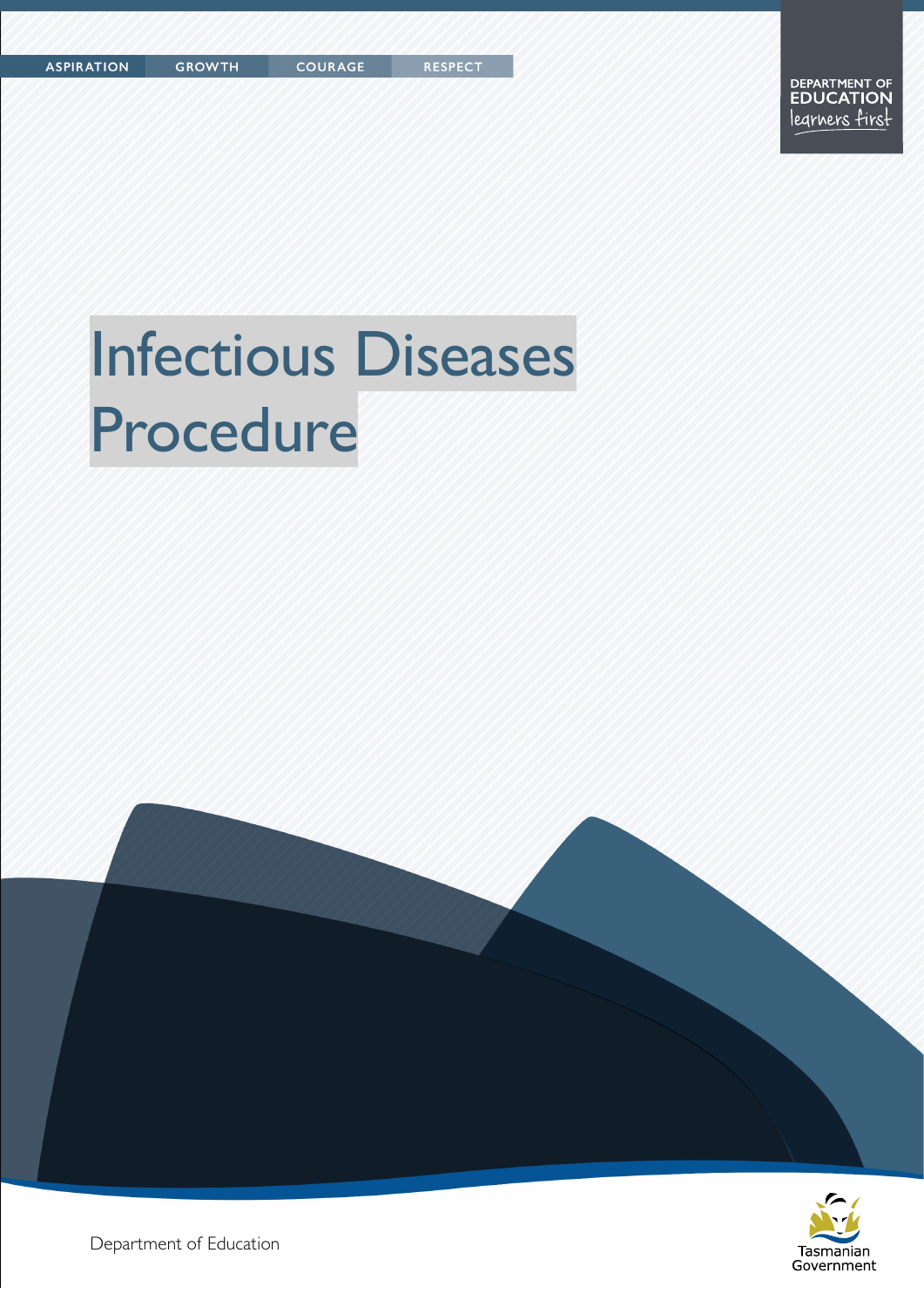# Infectious Diseases Procedure

**COURAGE** 





Department of Education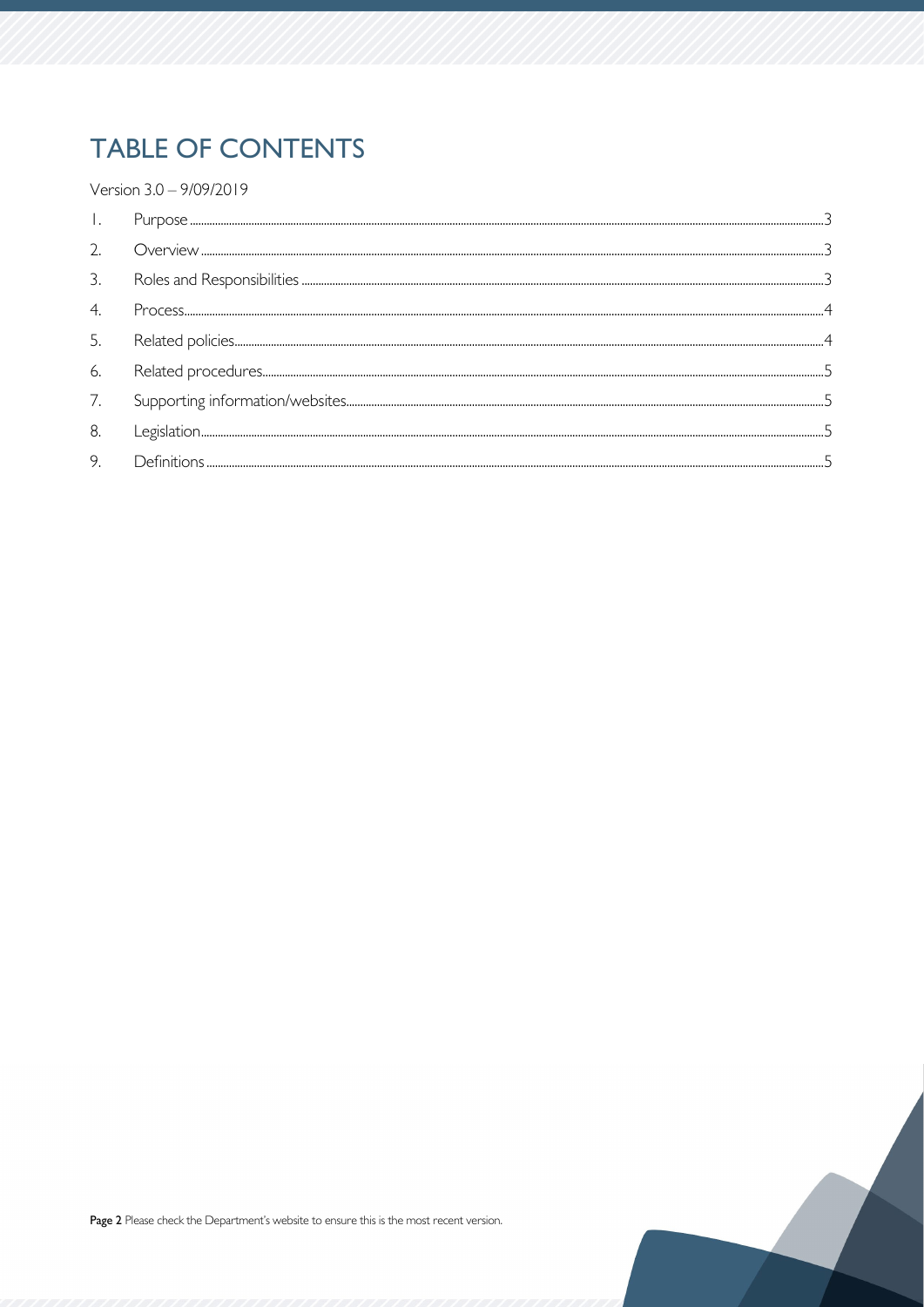# **TABLE OF CONTENTS**

Version 3.0 - 9/09/2019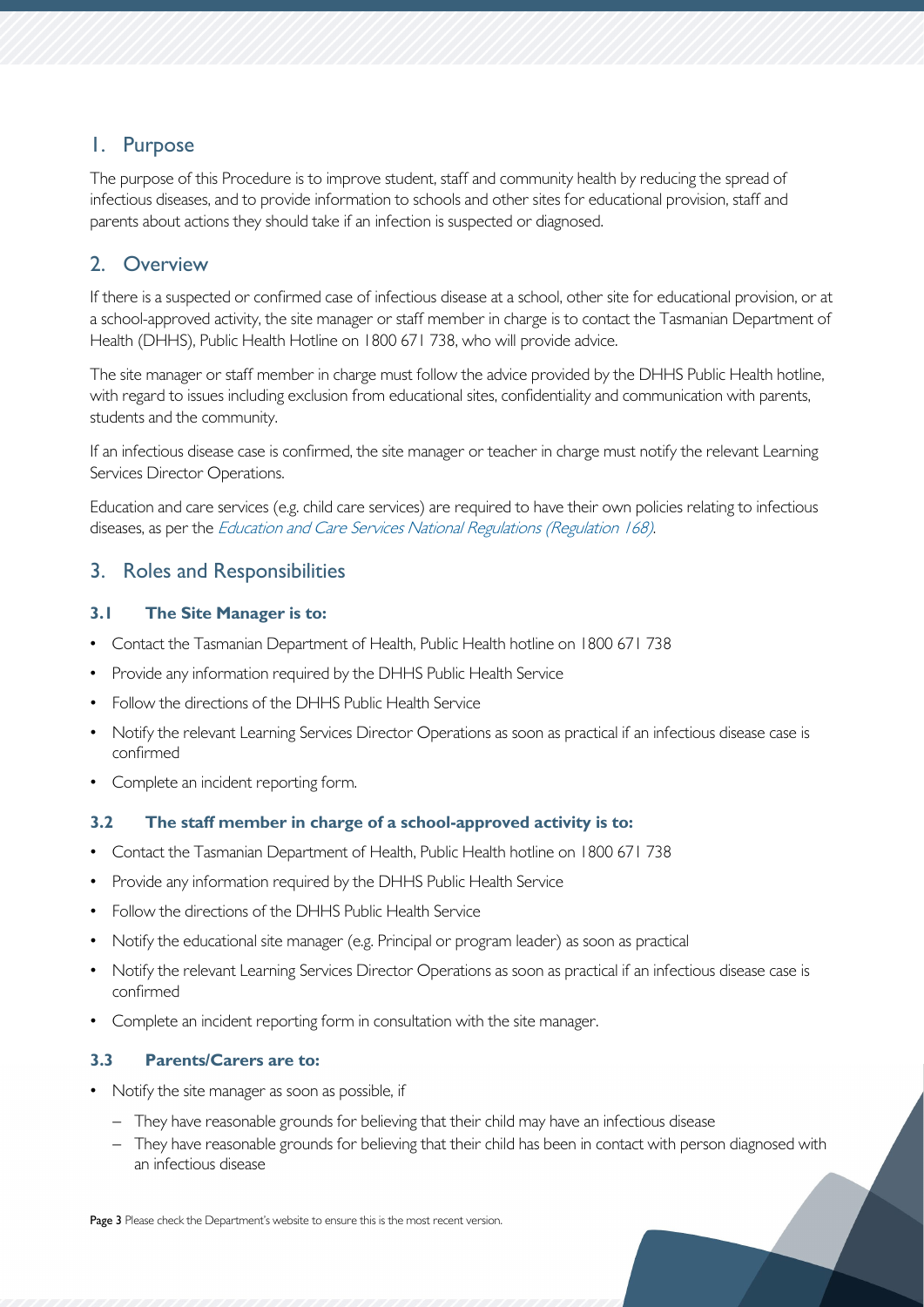# <span id="page-2-0"></span>1. Purpose

The purpose of this Procedure is to improve student, staff and community health by reducing the spread of infectious diseases, and to provide information to schools and other sites for educational provision, staff and parents about actions they should take if an infection is suspected or diagnosed.

# <span id="page-2-1"></span>2. Overview

If there is a suspected or confirmed case of infectious disease at a school, other site for educational provision, or at a school-approved activity, the site manager or staff member in charge is to contact the Tasmanian Department of Health (DHHS), Public Health Hotline on 1800 671 738, who will provide advice.

The site manager or staff member in charge must follow the advice provided by the DHHS Public Health hotline, with regard to issues including exclusion from educational sites, confidentiality and communication with parents, students and the community.

If an infectious disease case is confirmed, the site manager or teacher in charge must notify the relevant Learning Services Director Operations.

Education and care services (e.g. child care services) are required to have their own policies relating to infectious diseases, as per the [Education and Care Services National Regulations \(Regulation 168\)](http://www5.austlii.edu.au/au/legis/nsw/consol_reg/eacsnr422/s168.html).

# <span id="page-2-2"></span>3. Roles and Responsibilities

### **3.1 The Site Manager is to:**

- Contact the Tasmanian Department of Health, Public Health hotline on 1800 671 738
- Provide any information required by the DHHS Public Health Service
- Follow the directions of the DHHS Public Health Service
- Notify the relevant Learning Services Director Operations as soon as practical if an infectious disease case is confirmed
- Complete an incident reporting form.

### **3.2 The staff member in charge of a school-approved activity is to:**

- Contact the Tasmanian Department of Health, Public Health hotline on 1800 671 738
- Provide any information required by the DHHS Public Health Service
- Follow the directions of the DHHS Public Health Service
- Notify the educational site manager (e.g. Principal or program leader) as soon as practical
- Notify the relevant Learning Services Director Operations as soon as practical if an infectious disease case is confirmed
- Complete an incident reporting form in consultation with the site manager.

### **3.3 Parents/Carers are to:**

- Notify the site manager as soon as possible, if
	- − They have reasonable grounds for believing that their child may have an infectious disease
	- − They have reasonable grounds for believing that their child has been in contact with person diagnosed with an infectious disease

Page 3 Please check the Department's website to ensure this is the most recent version.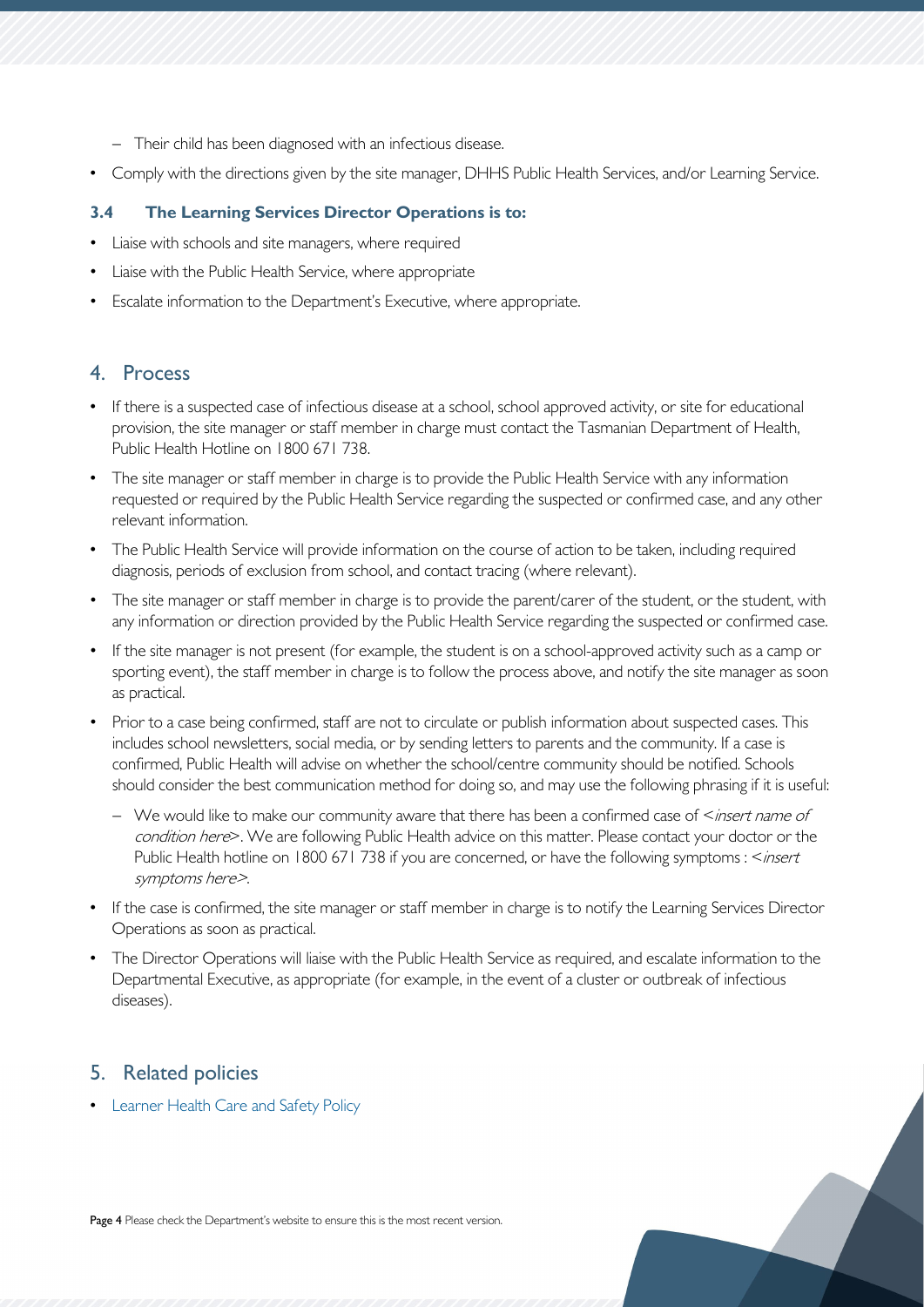- − Their child has been diagnosed with an infectious disease.
- Comply with the directions given by the site manager, DHHS Public Health Services, and/or Learning Service.

### **3.4 The Learning Services Director Operations is to:**

- Liaise with schools and site managers, where required
- Liaise with the Public Health Service, where appropriate
- Escalate information to the Department's Executive, where appropriate.

# <span id="page-3-0"></span>4. Process

- If there is a suspected case of infectious disease at a school, school approved activity, or site for educational provision, the site manager or staff member in charge must contact the Tasmanian Department of Health, Public Health Hotline on 1800 671 738.
- The site manager or staff member in charge is to provide the Public Health Service with any information requested or required by the Public Health Service regarding the suspected or confirmed case, and any other relevant information.
- The Public Health Service will provide information on the course of action to be taken, including required diagnosis, periods of exclusion from school, and contact tracing (where relevant).
- The site manager or staff member in charge is to provide the parent/carer of the student, or the student, with any information or direction provided by the Public Health Service regarding the suspected or confirmed case.
- If the site manager is not present (for example, the student is on a school-approved activity such as a camp or sporting event), the staff member in charge is to follow the process above, and notify the site manager as soon as practical.
- Prior to a case being confirmed, staff are not to circulate or publish information about suspected cases. This includes school newsletters, social media, or by sending letters to parents and the community. If a case is confirmed, Public Health will advise on whether the school/centre community should be notified. Schools should consider the best communication method for doing so, and may use the following phrasing if it is useful:
	- − We would like to make our community aware that there has been a confirmed case of <insert name of condition here>. We are following Public Health advice on this matter. Please contact your doctor or the Public Health hotline on 1800 671 738 if you are concerned, or have the following symptoms : <*insert* symptoms here>.
- If the case is confirmed, the site manager or staff member in charge is to notify the Learning Services Director Operations as soon as practical.
- The Director Operations will liaise with the Public Health Service as required, and escalate information to the Departmental Executive, as appropriate (for example, in the event of a cluster or outbreak of infectious diseases).

# <span id="page-3-1"></span>5. Related policies

• [Learner Health Care and Safety Policy](https://documentcentre.education.tas.gov.au/_layouts/15/DocIdRedir.aspx?ID=TASED-4-2986)

Page 4 Please check the Department's website to ensure this is the most recent version.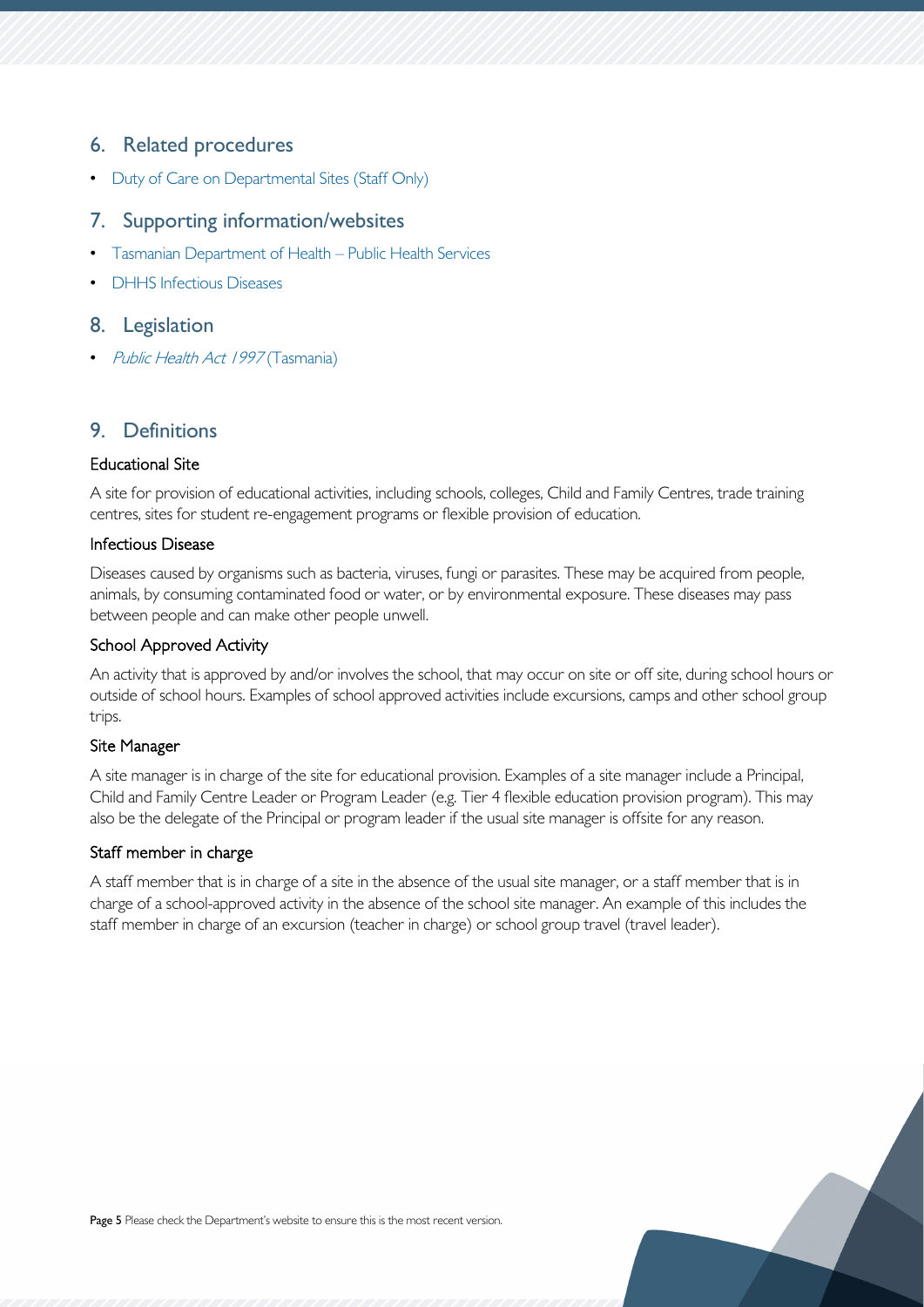# <span id="page-4-0"></span>6. Related procedures

• [Duty of Care on Departmental Sites \(Staff Only\)](https://documentcentre.education.tas.gov.au/_layouts/15/DocIdRedir.aspx?ID=TASED-4-4435)

# <span id="page-4-1"></span>7. Supporting information/websites

- [Tasmanian Department of Health –](https://www.dhhs.tas.gov.au/publichealth) Public Health Services
- **[DHHS Infectious Diseases](https://www.dhhs.tas.gov.au/publichealth/communicable_diseases_prevention_unit/infectious_diseases)**

## <span id="page-4-2"></span>8. Legislation

• [Public Health Act 1997](https://www.legislation.tas.gov.au/view/html/inforce/current/act-1997-086) (Tasmania)

# <span id="page-4-3"></span>9. Definitions

#### Educational Site

A site for provision of educational activities, including schools, colleges, Child and Family Centres, trade training centres, sites for student re-engagement programs or flexible provision of education.

#### Infectious Disease

Diseases caused by organisms such as bacteria, viruses, fungi or parasites. These may be acquired from people, animals, by consuming contaminated food or water, or by environmental exposure. These diseases may pass between people and can make other people unwell.

#### School Approved Activity

An activity that is approved by and/or involves the school, that may occur on site or off site, during school hours or outside of school hours. Examples of school approved activities include excursions, camps and other school group trips.

#### Site Manager

A site manager is in charge of the site for educational provision. Examples of a site manager include a Principal, Child and Family Centre Leader or Program Leader (e.g. Tier 4 flexible education provision program). This may also be the delegate of the Principal or program leader if the usual site manager is offsite for any reason.

#### Staff member in charge

A staff member that is in charge of a site in the absence of the usual site manager, or a staff member that is in charge of a school-approved activity in the absence of the school site manager. An example of this includes the staff member in charge of an excursion (teacher in charge) or school group travel (travel leader).